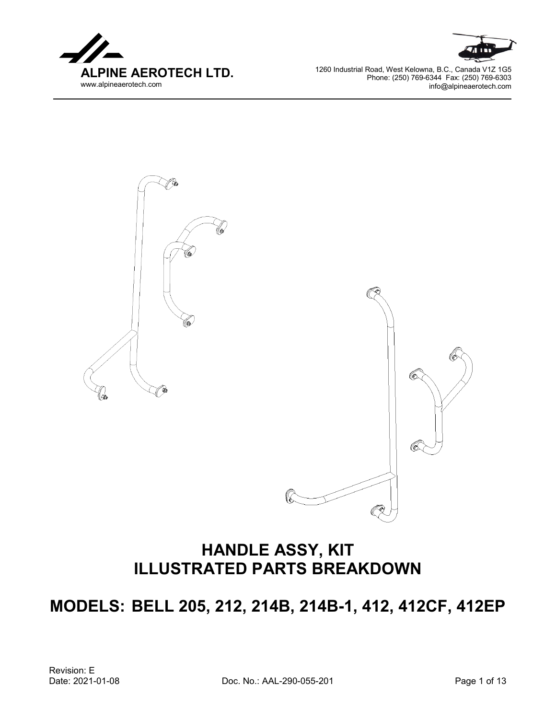





## **HANDLE ASSY, KIT ILLUSTRATED PARTS BREAKDOWN**

**MODELS: BELL 205, 212, 214B, 214B-1, 412, 412CF, 412EP**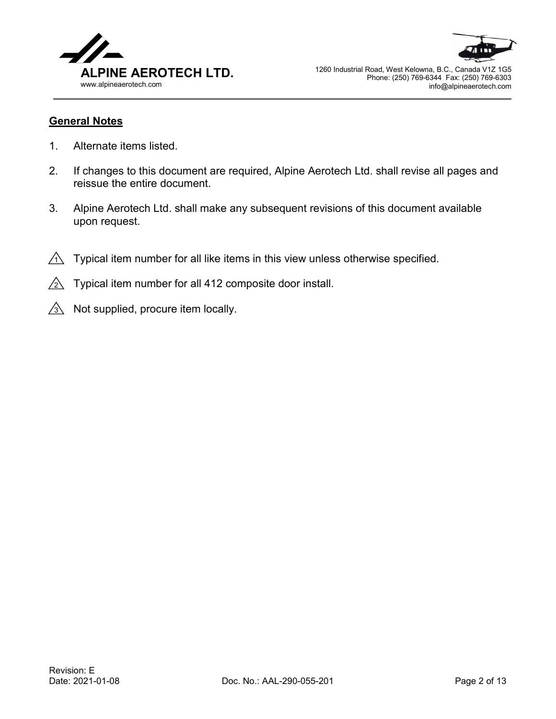



## **General Notes**

- 1. Alternate items listed.
- 2. If changes to this document are required, Alpine Aerotech Ltd. shall revise all pages and reissue the entire document.
- 3. Alpine Aerotech Ltd. shall make any subsequent revisions of this document available upon request.
- $\overline{\Lambda}$  Typical item number for all like items in this view unless otherwise specified.
- $\geq$  Typical item number for all 412 composite door install.
- $3\overline{\!\!\!\!\!\!\setminus}$  Not supplied, procure item locally.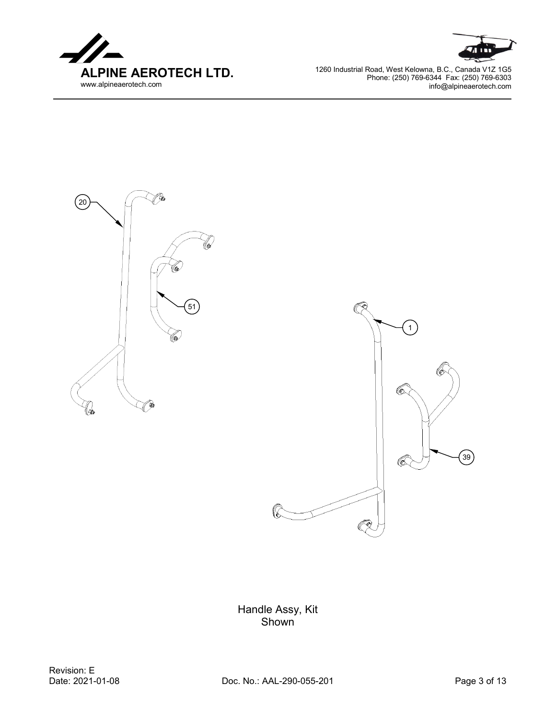





Handle Assy, Kit Shown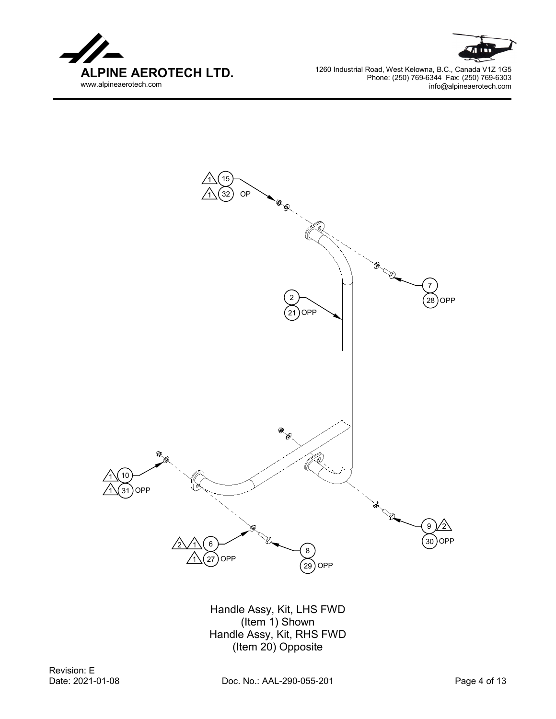





Handle Assy, Kit, LHS FWD (Item 1) Shown Handle Assy, Kit, RHS FWD (Item 20) Opposite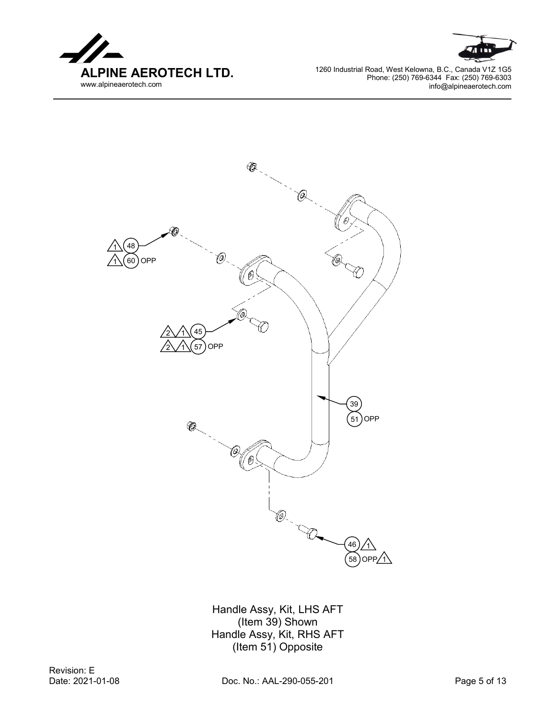





Handle Assy, Kit, LHS AFT (Item 39) Shown Handle Assy, Kit, RHS AFT (Item 51) Opposite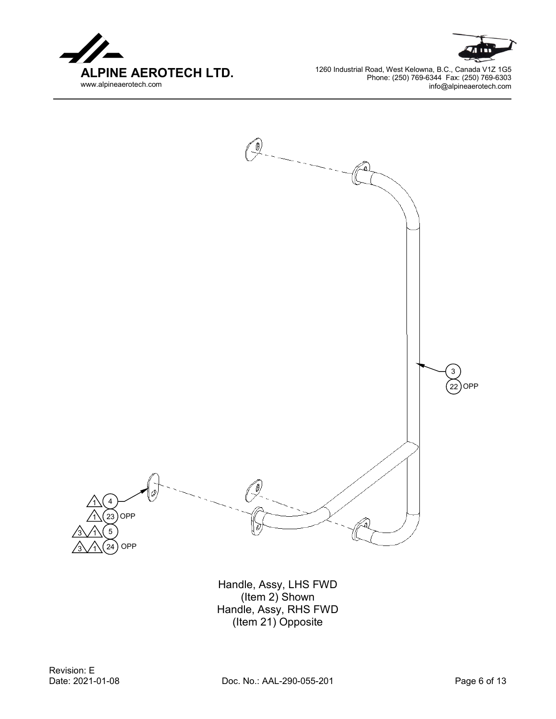





Handle, Assy, LHS FWD (Item 2) Shown Handle, Assy, RHS FWD (Item 21) Opposite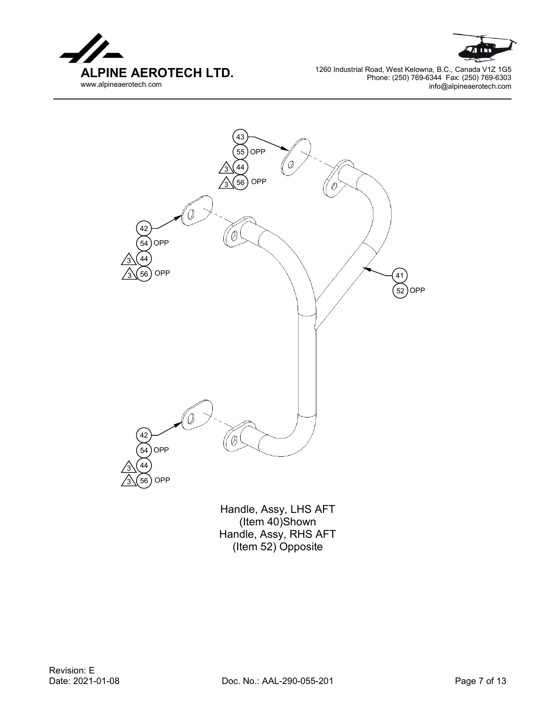





(Item 40)Shown Handle, Assy, RHS AFT (Item 52) Opposite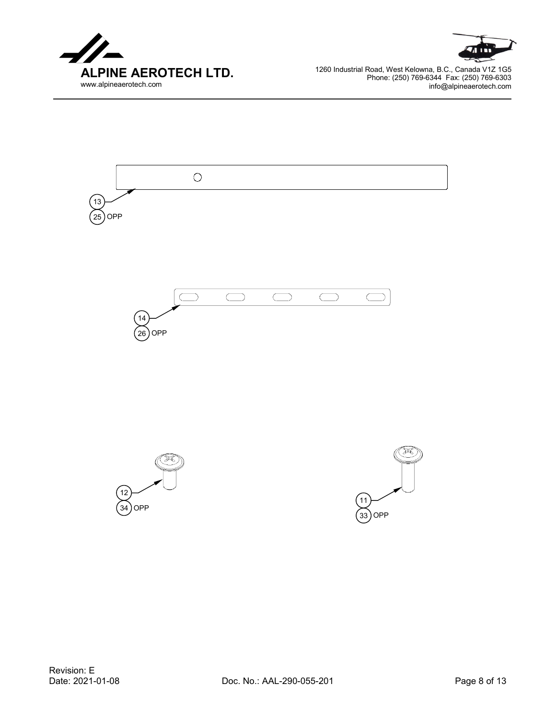







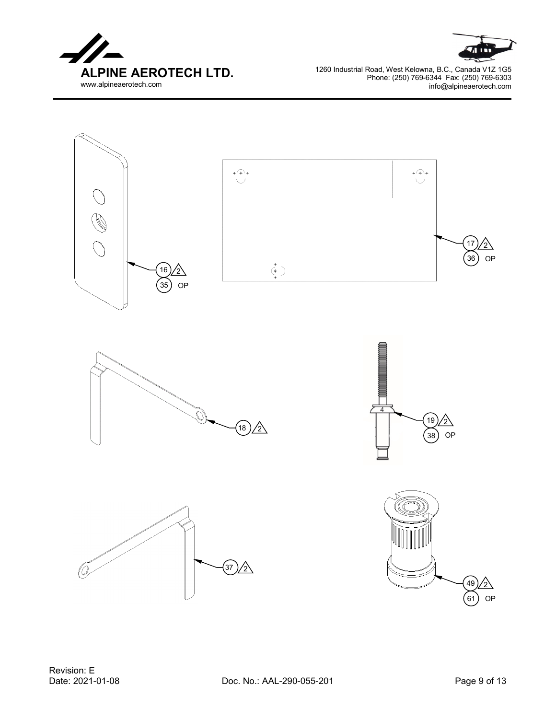



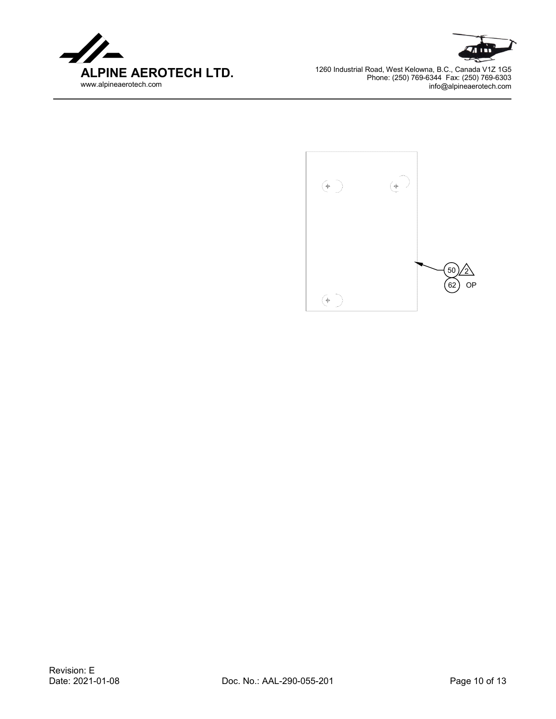



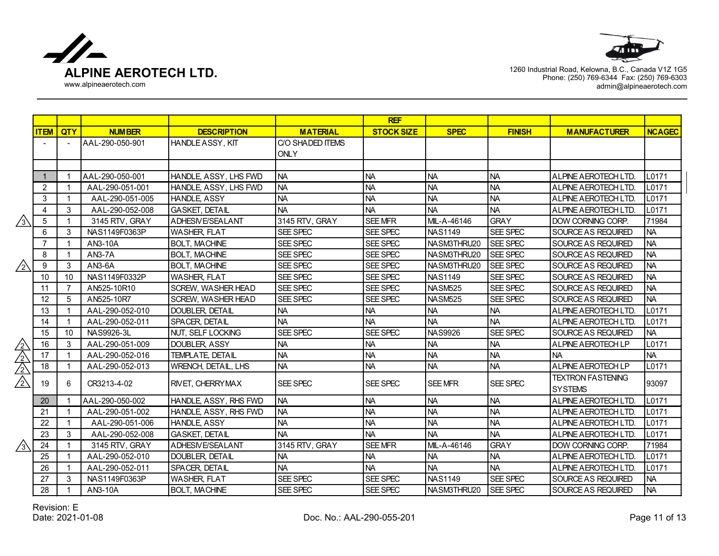



|                             |                |                |                 |                             |                  | <b>REF</b>        |                |                 |                           |               |
|-----------------------------|----------------|----------------|-----------------|-----------------------------|------------------|-------------------|----------------|-----------------|---------------------------|---------------|
|                             | <b>ITEM</b>    | <b>QTY</b>     | <b>NUMBER</b>   | <b>DESCRIPTION</b>          | <b>MATERIAL</b>  | <b>STOCK SIZE</b> | <b>SPEC</b>    | <b>FINISH</b>   | <b>MANUFACTURER</b>       | <b>NCAGEC</b> |
|                             |                | $\blacksquare$ | AAL-290-050-901 | <b>HANDLE ASSY, KIT</b>     | C/O SHADED ITEMS |                   |                |                 |                           |               |
|                             |                |                |                 |                             | <b>ONLY</b>      |                   |                |                 |                           |               |
|                             |                |                |                 |                             |                  |                   |                |                 |                           |               |
|                             |                |                | AAL-290-050-001 | HANDLE, ASSY, LHS FWD       | <b>NA</b>        | <b>NA</b>         | <b>NA</b>      | <b>NA</b>       | ALPINE AEROTECH LTD.      | L0171         |
|                             | 2              |                | AAL-290-051-001 | <b>HANDLE ASSY, LHS FWD</b> | <b>NA</b>        | <b>NA</b>         | <b>NA</b>      | <b>NA</b>       | ALPINE AEROTECH LTD.      | L0171         |
|                             | $\mathbf{3}$   | $\mathbf 1$    | AAL-290-051-005 | <b>HANDLE ASSY</b>          | <b>NA</b>        | <b>NA</b>         | NA             | <b>NA</b>       | ALPINE A EROTECH LTD.     | L0171         |
|                             | $\overline{4}$ | 3              | AAL-290-052-008 | IGASKET. DETAIL             | <b>NA</b>        | <b>NA</b>         | <b>NA</b>      | <b>NA</b>       | ALPINE AEROTECH LTD.      | L0171         |
| $\sqrt{3}$                  | 5              | $\mathbf{1}$   | 3145 RTV, GRAY  | ADHESIVE/SEALANT            | 3145 RTV, GRAY   | <b>SEE MFR</b>    | MIL-A-46146    | <b>GRAY</b>     | <b>DOW CORNING CORP.</b>  | 71984         |
|                             | 6              | 3              | NAS1149F0363P   | <b>WASHER, FLAT</b>         | SEE SPEC         | SEE SPEC          | <b>NAS1149</b> | SEE SPEC        | <b>SOURCE AS REQUIRED</b> | <b>NA</b>     |
|                             | $\overline{7}$ | 1              | AN3-10A         | <b>BOLT, MACHINE</b>        | SEE SPEC         | SEE SPEC          | NASM3THRU20    | SEE SPEC        | <b>SOURCE AS REQUIRED</b> | <b>NA</b>     |
|                             | 8              | 1              | AN3-7A          | <b>BOLT, MACHINE</b>        | SEE SPEC         | SEE SPEC          | NASM3THRU20    | SEE SPEC        | SOURCE AS REQUIRED        | <b>NA</b>     |
| $/_{2}$                     | 9              | 3              | AN3-6A          | <b>BOLT, MACHINE</b>        | SEE SPEC         | SEE SPEC          | NASM3THRU20    | SEE SPEC        | SOURCE AS REQUIRED        | <b>NA</b>     |
|                             | 10             | 10             | NAS1149F0332P   | <b>WASHER, FLAT</b>         | SEE SPEC         | SEE SPEC          | <b>NAS1149</b> | SEE SPEC        | SOURCE AS REQUIRED        | <b>NA</b>     |
|                             | 11             | $\overline{7}$ | AN525-10R10     | <b>SCREW, WASHER HEAD</b>   | <b>SEE SPEC</b>  | SEE SPEC          | <b>NASM525</b> | SEE SPEC        | <b>SOURCE AS REQUIRED</b> | <b>NA</b>     |
|                             | 12             | 5              | AN525-10R7      | <b>SCREW, WASHER HEAD</b>   | SEE SPEC         | SEE SPEC          | <b>NASM525</b> | <b>SEE SPEC</b> | <b>SOURCE AS REQUIRED</b> | <b>NA</b>     |
|                             | 13             | $\mathbf 1$    | AAL-290-052-010 | DOUBLER, DETAIL             | <b>NA</b>        | <b>NA</b>         | NA             | <b>NA</b>       | ALPINE AEROTECH LTD.      | L0171         |
|                             | 14             | $\mathbf 1$    | AAL-290-052-011 | SPACER, DETAIL              | <b>NA</b>        | <b>NA</b>         | <b>NA</b>      | <b>NA</b>       | ALPINE AEROTECH LTD.      | L0171         |
|                             | 15             | 10             | NAS9926-3L      | NUT, SELF LOCKING           | SEE SPEC         | SEE SPEC          | <b>NAS9926</b> | SEE SPEC        | SOURCE AS REQUIRED        | <b>NA</b>     |
|                             | 16             | 3              | AAL-290-051-009 | DOUBLER, ASSY               | <b>NA</b>        | <b>NA</b>         | NA             | <b>NA</b>       | ALPINE AEROTECH LP        | L0171         |
|                             | 17             | $\mathbf{1}$   | AAL-290-052-016 | <b>TEMPLATE, DETAIL</b>     | <b>NA</b>        | <b>NA</b>         | NA             | <b>NA</b>       | <b>NA</b>                 | <b>NA</b>     |
| $\frac{\sqrt{2}}{\sqrt{2}}$ | 18             | $\mathbf{1}$   | AAL-290-052-013 | <b>WRENCH, DETAIL, LHS</b>  | <b>NA</b>        | <b>NA</b>         | NA             | <b>NA</b>       | <b>ALPINE AEROTECH LP</b> | L0171         |
| $\sqrt{2}$                  | 19             | 6              | CR3213-4-02     | <b>RIVET, CHERRYMAX</b>     | SEE SPEC         | SEE SPEC          | <b>SEE MFR</b> | SEE SPEC        | <b>TEXTRON FASTENING</b>  |               |
|                             |                |                |                 |                             |                  |                   |                |                 | <b>SYSTEMS</b>            | 93097         |
|                             | 20             |                | AAL-290-050-002 | HANDLE, ASSY, RHS FWD       | <b>NA</b>        | <b>NA</b>         | NA             | <b>NA</b>       | ALPINE AEROTECH LTD.      | L0171         |
|                             | 21             | 1              | AAL-290-051-002 | HANDLE, ASSY, RHS FWD       | <b>NA</b>        | <b>NA</b>         | NA             | <b>NA</b>       | ALPINE AEROTECH LTD.      | L0171         |
|                             | 22             | $\mathbf{1}$   | AAL-290-051-006 | <b>HANDLE ASSY</b>          | <b>NA</b>        | <b>NA</b>         | NA             | <b>NA</b>       | ALPINE AEROTECH LTD.      | L0171         |
|                             | 23             | 3              | AAL-290-052-008 | <b>GASKET, DETAIL</b>       | <b>NA</b>        | <b>NA</b>         | <b>INA</b>     | <b>NA</b>       | ALPINE AEROTECH LTD.      | L0171         |
| $\sqrt{3}$                  | 24             | $\mathbf{1}$   | 3145 RTV, GRAY  | <b>ADHESIVE/SEALANT</b>     | 3145 RTV, GRAY   | <b>SEE MFR</b>    | MIL-A-46146    | <b>GRAY</b>     | <b>DOW CORNING CORP.</b>  | 71984         |
|                             | 25             | 1              | AAL-290-052-010 | <b>DOUBLER, DETAIL</b>      | <b>NA</b>        | <b>NA</b>         | NA             | <b>NA</b>       | ALPINE AEROTECH LTD.      | L0171         |
|                             | 26             | 1              | AAL-290-052-011 | SPACER, DETAIL              | <b>NA</b>        | <b>NA</b>         | <b>NA</b>      | <b>NA</b>       | ALPINE AEROTECH LTD.      | L0171         |
|                             | 27             | 3              | NAS1149F0363P   | <b>WASHER, FLAT</b>         | SEE SPEC         | SEE SPEC          | <b>NAS1149</b> | SEE SPEC        | SOURCE AS REQUIRED        | <b>NA</b>     |
|                             | 28             | $\mathbf{1}$   | AN3-10A         | <b>BOLT, MACHINE</b>        | SEE SPEC         | SEE SPEC          | NASM3THRU20    | <b>SEE SPEC</b> | <b>SOURCE AS REQUIRED</b> | <b>NA</b>     |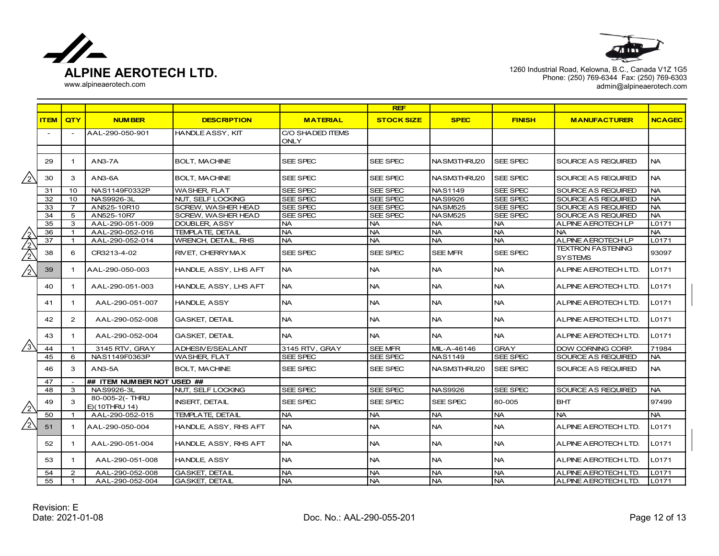



|            |             |                          |                                  |                            |                                 | <b>REF</b>        |                |               |                                            |               |
|------------|-------------|--------------------------|----------------------------------|----------------------------|---------------------------------|-------------------|----------------|---------------|--------------------------------------------|---------------|
|            | <b>ITEM</b> | QTY                      | <b>NUMBER</b>                    | <b>DESCRIPTION</b>         | <b>MATERIAL</b>                 | <b>STOCK SIZE</b> | <b>SPEC</b>    | <b>FINISH</b> | <b>MANUFACTURER</b>                        | <b>NCAGEC</b> |
|            |             | $\overline{\phantom{0}}$ | AAL-290-050-901                  | <b>HANDLE ASSY, KIT</b>    | C/O SHADED ITEMS<br><b>ONLY</b> |                   |                |               |                                            |               |
|            |             |                          |                                  |                            |                                 |                   |                |               |                                            |               |
|            | 29          | $\mathbf{1}$             | AN3-7A                           | <b>BOLT, MACHINE</b>       | SEE SPEC                        | SEE SPEC          | NASM3THRU20    | SEE SPEC      | SOURCE AS REQUIRED                         | <b>NA</b>     |
| $/_{2}$    | 30          | 3                        | AN3-6A                           | <b>BOLT, MACHINE</b>       | SEE SPEC                        | SEE SPEC          | NASM3THRU20    | SEE SPEC      | <b>SOURCE AS REQUIRED</b>                  | <b>NA</b>     |
|            | 31          | 10                       | NAS1149F0332P                    | <b>WASHER, FLAT</b>        | SEE SPEC                        | SEE SPEC          | <b>NAS1149</b> | SEE SPEC      | SOURCE AS REQUIRED                         | <b>NA</b>     |
|            | 32          | 10                       | NAS9926-3L                       | <b>NUT. SELF LOCKING</b>   | SEE SPEC                        | SEE SPEC          | <b>NAS9926</b> | SEE SPEC      | SOURCE AS REQUIRED                         | <b>NA</b>     |
|            | 33          | $\overline{7}$           | AN525-10R10                      | <b>SCREW, WASHER HEAD</b>  | SEE SPEC                        | SEE SPEC          | <b>NASM525</b> | SEE SPEC      | SOURCE AS REQUIRED                         | <b>NA</b>     |
|            | 34          | 5                        | AN525-10R7                       | SCREW, WASHER HEAD         | SEE SPEC                        | SEE SPEC          | <b>NASM525</b> | SEE SPEC      | SOURCE AS REQUIRED                         | <b>NA</b>     |
|            | 35          | 3                        | AAL-290-051-009                  | <b>DOUBLER, ASSY</b>       | <b>NA</b>                       | <b>NA</b>         | <b>NA</b>      | <b>NA</b>     | <b>ALPINE AEROTECH LP</b>                  | L0171         |
|            | 36          | $\mathbf{1}$             | AAL-290-052-016                  | <b>TEMPLATE, DETAIL</b>    | <b>NA</b>                       | <b>NA</b>         | <b>NA</b>      | <b>NA</b>     | NA.                                        | <b>NA</b>     |
|            | 37          | $\overline{1}$           | AAL-290-052-014                  | <b>WRENCH, DETAIL, RHS</b> | <b>NA</b>                       | <b>NA</b>         | <b>NA</b>      | <b>NA</b>     | ALPINE A EROTECH LP                        | L0171         |
|            | 38          | 6                        | CR3213-4-02                      | RIVET, CHERRYMAX           | SEE SPEC                        | SEE SPEC          | SEE MFR        | SEE SPEC      | <b>TEXTRON FASTENING</b><br><b>SYSTEMS</b> | 93097         |
| $\sqrt{2}$ | 39          | $\mathbf 1$              | AAL-290-050-003                  | HANDLE, ASSY, LHS AFT      | <b>NA</b>                       | <b>NA</b>         | <b>NA</b>      | <b>NA</b>     | ALPINE AEROTECH LTD.                       | L0171         |
|            | 40          | $\mathbf{1}$             | AAL-290-051-003                  | HANDLE, ASSY, LHS AFT      | <b>NA</b>                       | <b>NA</b>         | <b>NA</b>      | <b>NA</b>     | ALPINE AEROTECH LTD.                       | L0171         |
|            | 41          | $\mathbf 1$              | AAL-290-051-007                  | <b>HANDLE, ASSY</b>        | <b>NA</b>                       | <b>NA</b>         | <b>NA</b>      | <b>NA</b>     | <b>ALPINE AEROTECH LTD.</b>                | L0171         |
|            | 42          | $\overline{2}$           | AAL-290-052-008                  | <b>GASKET, DETAIL</b>      | <b>NA</b>                       | <b>NA</b>         | <b>NA</b>      | <b>NA</b>     | ALPINE AEROTECH LTD.                       | L0171         |
|            | 43          | $\mathbf{1}$             | AAL-290-052-004                  | <b>GASKET, DETAIL</b>      | <b>NA</b>                       | <b>NA</b>         | <b>NA</b>      | <b>NA</b>     | ALPINE AEROTECH LTD.                       | L0171         |
| $\sqrt{3}$ | 44          | $\mathbf 1$              | 3145 RTV, GRAY                   | <b>ADHESIVE/SEALANT</b>    | 3145 RTV, GRAY                  | SEE MFR           | MIL-A-46146    | <b>GRAY</b>   | DOW CORNING CORP.                          | 71984         |
|            | 45          | 6                        | NAS1149F0363P                    | <b>WASHER, FLAT</b>        | SEE SPEC                        | SEE SPEC          | <b>NAS1149</b> | SEE SPEC      | SOURCE AS REQUIRED                         | <b>NA</b>     |
|            | 46          | 3                        | $AN3-5A$                         | <b>BOLT, MACHINE</b>       | SEE SPEC                        | SEE SPEC          | NASM3THRU20    | SEE SPEC      | <b>SOURCE AS REQUIRED</b>                  | <b>NA</b>     |
|            | 47          |                          | ## ITEM NUMBER NOT USED ##       |                            |                                 |                   |                |               |                                            |               |
|            | 48          | 3                        | NAS9926-3L                       | NUT, SELF LOCKING          | SEE SPEC                        | SEE SPEC          | <b>NAS9926</b> | SEE SPEC      | <b>SOURCE AS REQUIRED</b>                  | <b>NA</b>     |
| $\sqrt{2}$ | 49          | 3                        | 80-005-2(- THRU<br>E)(10THRU 14) | <b>INSERT, DETAIL</b>      | SEE SPEC                        | SEE SPEC          | SEE SPEC       | 80-005        | <b>BHT</b>                                 | 97499         |
|            | 50          | $\mathbf{1}$             | AAL-290-052-015                  | TEMPLATE, DETAIL           | <b>NA</b>                       | <b>NA</b>         | <b>NA</b>      | <b>NA</b>     | NA.                                        | <b>NA</b>     |
| /2         | 51          | $\mathbf 1$              | AAL-290-050-004                  | HANDLE, ASSY, RHS AFT      | <b>NA</b>                       | <b>NA</b>         | <b>NA</b>      | <b>NA</b>     | ALPINE AEROTECH LTD.                       | L0171         |
|            | 52          | $\mathbf{1}$             | AAL-290-051-004                  | HANDLE, ASSY, RHS AFT      | <b>NA</b>                       | <b>NA</b>         | <b>NA</b>      | <b>NA</b>     | ALPINE AEROTECH LTD.                       | L0171         |
|            | 53          | $\mathbf{1}$             | AAL-290-051-008                  | <b>HANDLE, ASSY</b>        | <b>NA</b>                       | <b>NA</b>         | <b>NA</b>      | <b>NA</b>     | ALPINE A EROTECH LTD.                      | L0171         |
|            | 54          | 2                        | AAL-290-052-008                  | GASKET, DETAIL             | <b>NA</b>                       | <b>NA</b>         | <b>NA</b>      | <b>NA</b>     | ALPINE AEROTECH LTD.                       | L0171         |
|            | 55          | $\mathbf{1}$             | AAL-290-052-004                  | <b>GASKET, DETAIL</b>      | <b>NA</b>                       | <b>NA</b>         | <b>NA</b>      | <b>NA</b>     | ALPINE A EROTECH LTD.                      | L0171         |